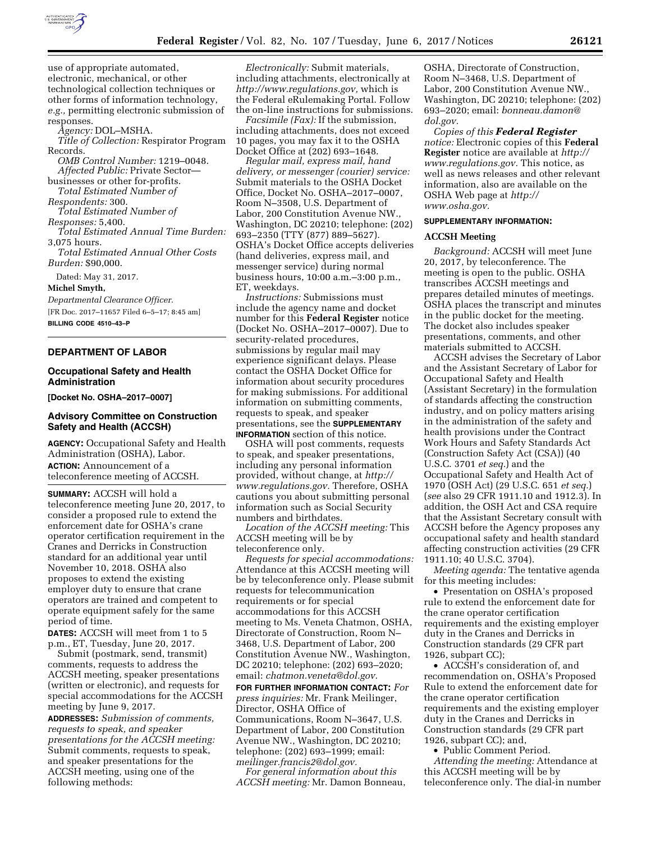

use of appropriate automated, electronic, mechanical, or other technological collection techniques or other forms of information technology, *e.g.,* permitting electronic submission of responses.

*Agency:* DOL–MSHA.

*Title of Collection:* Respirator Program Records.

*OMB Control Number:* 1219–0048. *Affected Public:* Private Sector—

businesses or other for-profits. *Total Estimated Number of* 

*Respondents:* 300.

*Total Estimated Number of* 

*Responses:* 5,400. *Total Estimated Annual Time Burden:* 

3,075 hours.

*Total Estimated Annual Other Costs Burden:* \$90,000.

Dated: May 31, 2017.

**Michel Smyth,** 

*Departmental Clearance Officer.*  [FR Doc. 2017–11657 Filed 6–5–17; 8:45 am] **BILLING CODE 4510–43–P** 

# **DEPARTMENT OF LABOR**

## **Occupational Safety and Health Administration**

**[Docket No. OSHA–2017–0007]** 

# **Advisory Committee on Construction Safety and Health (ACCSH)**

**AGENCY:** Occupational Safety and Health Administration (OSHA), Labor. **ACTION:** Announcement of a teleconference meeting of ACCSH.

**SUMMARY:** ACCSH will hold a teleconference meeting June 20, 2017, to consider a proposed rule to extend the enforcement date for OSHA's crane operator certification requirement in the Cranes and Derricks in Construction standard for an additional year until November 10, 2018. OSHA also proposes to extend the existing employer duty to ensure that crane operators are trained and competent to operate equipment safely for the same period of time.

**DATES:** ACCSH will meet from 1 to 5 p.m., ET, Tuesday, June 20, 2017.

Submit (postmark, send, transmit) comments, requests to address the ACCSH meeting, speaker presentations (written or electronic), and requests for special accommodations for the ACCSH meeting by June 9, 2017.

**ADDRESSES:** *Submission of comments, requests to speak, and speaker presentations for the ACCSH meeting:*  Submit comments, requests to speak, and speaker presentations for the ACCSH meeting, using one of the following methods:

*Electronically:* Submit materials, including attachments, electronically at *[http://www.regulations.gov,](http://www.regulations.gov)* which is the Federal eRulemaking Portal. Follow the on-line instructions for submissions.

*Facsimile (Fax):* If the submission, including attachments, does not exceed 10 pages, you may fax it to the OSHA Docket Office at (202) 693–1648.

*Regular mail, express mail, hand delivery, or messenger (courier) service:*  Submit materials to the OSHA Docket Office, Docket No. OSHA–2017–0007, Room N–3508, U.S. Department of Labor, 200 Constitution Avenue NW., Washington, DC 20210; telephone: (202) 693–2350 (TTY (877) 889–5627). OSHA's Docket Office accepts deliveries (hand deliveries, express mail, and messenger service) during normal business hours, 10:00 a.m.–3:00 p.m., ET, weekdays.

*Instructions:* Submissions must include the agency name and docket number for this **Federal Register** notice (Docket No. OSHA–2017–0007). Due to security-related procedures, submissions by regular mail may experience significant delays. Please contact the OSHA Docket Office for information about security procedures for making submissions. For additional information on submitting comments, requests to speak, and speaker presentations, see the **SUPPLEMENTARY INFORMATION** section of this notice.

OSHA will post comments, requests to speak, and speaker presentations, including any personal information provided, without change, at *[http://](http://www.regulations.gov) [www.regulations.gov.](http://www.regulations.gov)* Therefore, OSHA cautions you about submitting personal information such as Social Security numbers and birthdates.

*Location of the ACCSH meeting:* This ACCSH meeting will be by teleconference only.

*Requests for special accommodations:*  Attendance at this ACCSH meeting will be by teleconference only. Please submit requests for telecommunication requirements or for special accommodations for this ACCSH meeting to Ms. Veneta Chatmon, OSHA, Directorate of Construction, Room N– 3468, U.S. Department of Labor, 200 Constitution Avenue NW., Washington, DC 20210; telephone: (202) 693–2020; email: *[chatmon.veneta@dol.gov.](mailto:chatmon.veneta@dol.gov)* 

**FOR FURTHER INFORMATION CONTACT:** *For press inquiries:* Mr. Frank Meilinger, Director, OSHA Office of Communications, Room N–3647, U.S. Department of Labor, 200 Constitution Avenue NW., Washington, DC 20210; telephone: (202) 693–1999; email: *[meilinger.francis2@dol.gov.](mailto:meilinger.francis2@dol.gov)* 

*For general information about this ACCSH meeting:* Mr. Damon Bonneau, OSHA, Directorate of Construction, Room N–3468, U.S. Department of Labor, 200 Constitution Avenue NW., Washington, DC 20210; telephone: (202) 693–2020; email: *[bonneau.damon@](mailto:bonneau.damon@dol.gov) [dol.gov.](mailto:bonneau.damon@dol.gov)* 

*Copies of this Federal Register notice:* Electronic copies of this **Federal Register** notice are available at *[http://](http://www.regulations.gov) [www.regulations.gov.](http://www.regulations.gov)* This notice, as well as news releases and other relevant information, also are available on the OSHA Web page at *[http://](http://www.osha.gov) [www.osha.gov.](http://www.osha.gov)* 

#### **SUPPLEMENTARY INFORMATION:**

#### **ACCSH Meeting**

*Background:* ACCSH will meet June 20, 2017, by teleconference. The meeting is open to the public. OSHA transcribes ACCSH meetings and prepares detailed minutes of meetings. OSHA places the transcript and minutes in the public docket for the meeting. The docket also includes speaker presentations, comments, and other materials submitted to ACCSH.

ACCSH advises the Secretary of Labor and the Assistant Secretary of Labor for Occupational Safety and Health (Assistant Secretary) in the formulation of standards affecting the construction industry, and on policy matters arising in the administration of the safety and health provisions under the Contract Work Hours and Safety Standards Act (Construction Safety Act (CSA)) (40 U.S.C. 3701 *et seq.*) and the Occupational Safety and Health Act of 1970 (OSH Act) (29 U.S.C. 651 *et seq.*) (*see* also 29 CFR 1911.10 and 1912.3). In addition, the OSH Act and CSA require that the Assistant Secretary consult with ACCSH before the Agency proposes any occupational safety and health standard affecting construction activities (29 CFR 1911.10; 40 U.S.C. 3704).

*Meeting agenda:* The tentative agenda for this meeting includes:

• Presentation on OSHA's proposed rule to extend the enforcement date for the crane operator certification requirements and the existing employer duty in the Cranes and Derricks in Construction standards (29 CFR part 1926, subpart CC);

• ACCSH's consideration of, and recommendation on, OSHA's Proposed Rule to extend the enforcement date for the crane operator certification requirements and the existing employer duty in the Cranes and Derricks in Construction standards (29 CFR part 1926, subpart CC); and,

• Public Comment Period.

*Attending the meeting:* Attendance at this ACCSH meeting will be by teleconference only. The dial-in number